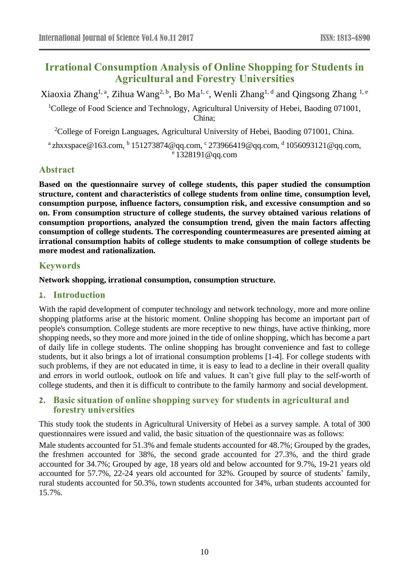# **Irrational Consumption Analysis of Online Shopping for Students in Agricultural and Forestry Universities**

Xiaoxia Zhang<sup>1, a</sup>, Zihua Wang<sup>2, b</sup>, Bo Ma<sup>1, c</sup>, Wenli Zhang<sup>1, d</sup> and Qingsong Zhang <sup>1, e</sup>

<sup>1</sup>College of Food Science and Technology, Agricultural University of Hebei, Baoding 071001, China;

<sup>2</sup>College of Foreign Languages, Agricultural University of Hebei, Baoding 071001, China.

 $^{\alpha}$ zhxxspace@163.com,  $^{\text{b}}$  151273874@qq.com, <sup>c</sup> 273966419@qq.com, <sup>d</sup> 1056093121@qq.com, e 1328191@qq.com

# **Abstract**

**Based on the questionnaire survey of college students, this paper studied the consumption structure, content and characteristics of college students from online time, consumption level, consumption purpose, influence factors, consumption risk, and excessive consumption and so on. From consumption structure of college students, the survey obtained various relations of consumption proportions, analyzed the consumption trend, given the main factors affecting consumption of college students. The corresponding countermeasures are presented aiming at irrational consumption habits of college students to make consumption of college students be more modest and rationalization.**

# **Keywords**

#### **Network shopping, irrational consumption, consumption structure.**

# **1. Introduction**

With the rapid development of computer technology and network technology, more and more online shopping platforms arise at the historic moment. Online shopping has become an important part of people's consumption. College students are more receptive to new things, have active thinking, more shopping needs, so they more and more joined in the tide of online shopping, which has become a part of daily life in college students. The online shopping has brought convenience and fast to college students, but it also brings a lot of irrational consumption problems [1-4]. For college students with such problems, if they are not educated in time, it is easy to lead to a decline in their overall quality and errors in world outlook, outlook on life and values. It can't give full play to the self-worth of college students, and then it is difficult to contribute to the family harmony and social development.

# **2. Basic situation of online shopping survey for students in agricultural and forestry universities**

This study took the students in Agricultural University of Hebei as a survey sample. A total of 300 questionnaires were issued and valid, the basic situation of the questionnaire was as follows:

Male students accounted for 51.3% and female students accounted for 48.7%; Grouped by the grades, the freshmen accounted for 38%, the second grade accounted for 27.3%, and the third grade accounted for 34.7%; Grouped by age, 18 years old and below accounted for 9.7%, 19-21 years old accounted for 57.7%, 22-24 years old accounted for 32%. Grouped by source of students' family, rural students accounted for 50.3%, town students accounted for 34%, urban students accounted for 15.7%.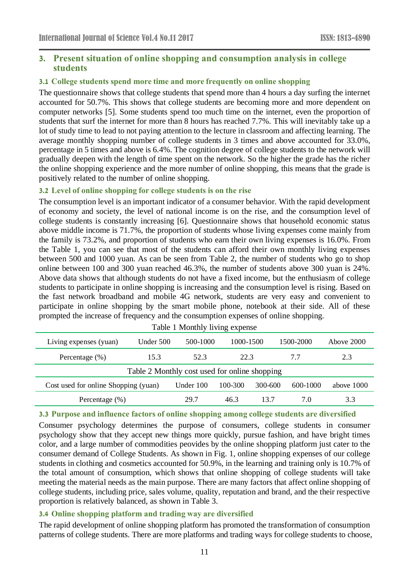# **3. Present situation of online shopping and consumption analysis in college students**

#### **3.1 College students spend more time and more frequently on online shopping**

The questionnaire shows that college students that spend more than 4 hours a day surfing the internet accounted for 50.7%. This shows that college students are becoming more and more dependent on computer networks [5]. Some students spend too much time on the internet, even the proportion of students that surf the internet for more than 8 hours has reached 7.7%. This will inevitably take up a lot of study time to lead to not paying attention to the lecture in classroom and affecting learning. The average monthly shopping number of college students in 3 times and above accounted for 33.0%, percentage in 5 times and above is 6.4%. The cognition degree of college students to the network will gradually deepen with the length of time spent on the network. So the higher the grade has the richer the online shopping experience and the more number of online shopping, this means that the grade is positively related to the number of online shopping.

#### **3.2 Level of online shopping for college students is on the rise**

The consumption level is an important indicator of a consumer behavior. With the rapid development of economy and society, the level of national income is on the rise, and the consumption level of college students is constantly increasing [6]. Questionnaire shows that household economic status above middle income is 71.7%, the proportion of students whose living expenses come mainly from the family is 73.2%, and proportion of students who earn their own living expenses is 16.0%. From the Table 1, you can see that most of the students can afford their own monthly living expenses between 500 and 1000 yuan. As can be seen from Table 2, the number of students who go to shop online between 100 and 300 yuan reached 46.3%, the number of students above 300 yuan is 24%. Above data shows that although students do not have a fixed income, but the enthusiasm of college students to participate in online shopping is increasing and the consumption level is rising. Based on the fast network broadband and mobile 4G network, students are very easy and convenient to participate in online shopping by the smart mobile phone, notebook at their side. All of these prompted the increase of frequency and the consumption expenses of online shopping.

| $\tilde{\phantom{a}}$                         |             |             |           |         |           |            |  |  |  |  |
|-----------------------------------------------|-------------|-------------|-----------|---------|-----------|------------|--|--|--|--|
| Living expenses (yuan)                        | Under $500$ | 500-1000    | 1000-1500 |         | 1500-2000 | Above 2000 |  |  |  |  |
| Percentage $(\% )$                            | 15.3        | 52.3        | 22.3      |         | 7.7       | 2.3        |  |  |  |  |
| Table 2 Monthly cost used for online shopping |             |             |           |         |           |            |  |  |  |  |
| Cost used for online Shopping (yuan)          |             | Under $100$ | 100-300   | 300-600 | 600-1000  | above 1000 |  |  |  |  |
| Percentage $(\%)$                             |             | 29.7        | 46.3      | 13.7    | 7.0       | 3.3        |  |  |  |  |

#### Table 1 Monthly living expense

#### **3.3 Purpose and influence factors of online shopping among college students are diversified**

Consumer psychology determines the purpose of consumers, college students in consumer psychology show that they accept new things more quickly, pursue fashion, and have bright times color, and a large number of commodities peovides by the online shopping platform just cater to the consumer demand of College Students. As shown in Fig. 1, online shopping expenses of our college students in clothing and cosmetics accounted for 50.9%, in the learning and training only is 10.7% of the total amount of consumption, which shows that online shopping of college students will take meeting the material needs as the main purpose. There are many factors that affect online shopping of college students, including price, sales volume, quality, reputation and brand, and the their respective proportion is relatively balanced, as shown in Table 3.

#### **3.4 Online shopping platform and trading way are diversified**

The rapid development of online shopping platform has promoted the transformation of consumption patterns of college students. There are more platforms and trading ways for college students to choose,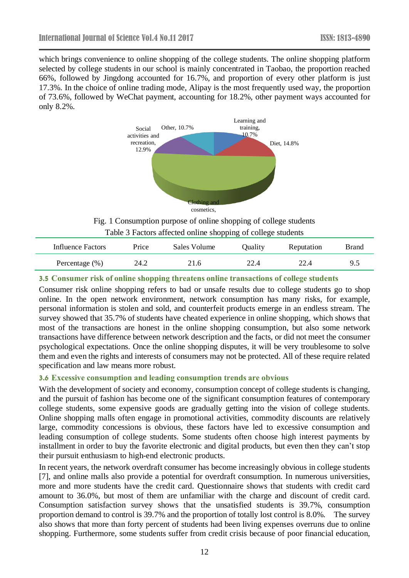which brings convenience to online shopping of the college students. The online shopping platform selected by college students in our school is mainly concentrated in Taobao, the proportion reached 66%, followed by Jingdong accounted for 16.7%, and proportion of every other platform is just 17.3%. In the choice of online trading mode, Alipay is the most frequently used way, the proportion of 73.6%, followed by WeChat payment, accounting for 18.2%, other payment ways accounted for only 8.2%.



Fig. 1 Consumption purpose of online shopping of college students Table 3 Factors affected online shopping of college students

| Influence Factors  | Price | Sales Volume | Quality | Reputation | Brand |
|--------------------|-------|--------------|---------|------------|-------|
| Percentage $(\% )$ | 24.2  | 21.6         | 22.4    | 22.4       | 9.5   |

#### **3.5 Consumer risk of online shopping threatens online transactions of college students**

Consumer risk online shopping refers to bad or unsafe results due to college students go to shop online. In the open network environment, network consumption has many risks, for example, personal information is stolen and sold, and counterfeit products emerge in an endless stream. The survey showed that 35.7% of students have cheated experience in online shopping, which shows that most of the transactions are honest in the online shopping consumption, but also some network transactions have difference between network description and the facts, or did not meet the consumer psychological expectations. Once the online shopping disputes, it will be very troublesome to solve them and even the rights and interests of consumers may not be protected. All of these require related specification and law means more robust.

#### **3.6 Excessive consumption and leading consumption trends are obvious**

With the development of society and economy, consumption concept of college students is changing, and the pursuit of fashion has become one of the significant consumption features of contemporary college students, some expensive goods are gradually getting into the vision of college students. Online shopping malls often engage in promotional activities, commodity discounts are relatively large, commodity concessions is obvious, these factors have led to excessive consumption and leading consumption of college students. Some students often choose high interest payments by installment in order to buy the favorite electronic and digital products, but even then they can't stop their pursuit enthusiasm to high-end electronic products.

In recent years, the network overdraft consumer has become increasingly obvious in college students [7], and online malls also provide a potential for overdraft consumption. In numerous universities, more and more students have the credit card. Questionnaire shows that students with credit card amount to 36.0%, but most of them are unfamiliar with the charge and discount of credit card. Consumption satisfaction survey shows that the unsatisfied students is 39.7%, consumption proportion demand to control is 39.7% and the proportion of totally lost control is 8.0%. The survey also shows that more than forty percent of students had been living expenses overruns due to online shopping. Furthermore, some students suffer from credit crisis because of poor financial education,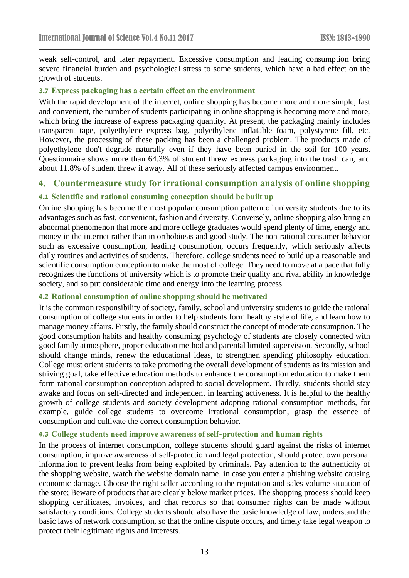weak self-control, and later repayment. Excessive consumption and leading consumption bring severe financial burden and psychological stress to some students, which have a bad effect on the growth of students.

#### **3.7 Express packaging has a certain effect on the environment**

With the rapid development of the internet, online shopping has become more and more simple, fast and convenient, the number of students participating in online shopping is becoming more and more, which bring the increase of express packaging quantity. At present, the packaging mainly includes transparent tape, polyethylene express bag, polyethylene inflatable foam, polystyrene fill, etc. However, the processing of these packing has been a challenged problem. The products made of polyethylene don't degrade naturally even if they have been buried in the soil for 100 years. Questionnaire shows more than 64.3% of student threw express packaging into the trash can, and about 11.8% of student threw it away. All of these seriously affected campus environment.

# **4. Countermeasure study for irrational consumption analysis of online shopping**

#### **4.1 Scientific and rational consuming conception should be built up**

Online shopping has become the most popular consumption pattern of university students due to its advantages such as fast, convenient, fashion and diversity. Conversely, online shopping also bring an abnormal phenomenon that more and more college graduates would spend plenty of time, energy and money in the internet rather than in orthobiosis and good study. The non-rational consumer behavior such as excessive consumption, leading consumption, occurs frequently, which seriously affects daily routines and activities of students. Therefore, college students need to build up a reasonable and scientific consumption conception to make the most of college. They need to move at a pace that fully recognizes the functions of university which is to promote their quality and rival ability in knowledge society, and so put considerable time and energy into the learning process.

#### **4.2 Rational consumption of online shopping should be motivated**

It is the common responsibility of society, family, school and university students to guide the rational consumption of college students in order to help students form healthy style of life, and learn how to manage money affairs. Firstly, the family should construct the concept of moderate consumption. The good consumption habits and healthy consuming psychology of students are closely connected with good family atmosphere, proper education method and parental limited supervision. Secondly, school should change minds, renew the educational ideas, to strengthen spending philosophy education. College must orient students to take promoting the overall development of students as its mission and striving goal, take effective education methods to enhance the consumption education to make them form rational consumption conception adapted to social development. Thirdly, students should stay awake and focus on self-directed and independent in learning activeness. It is helpful to the healthy growth of college students and society development adopting rational consumption methods, for example, guide college students to overcome irrational consumption, grasp the essence of consumption and cultivate the correct consumption behavior.

#### **4.3 College students need improve awareness of self-protection and human rights**

In the process of internet consumption, college students should guard against the risks of internet consumption, improve awareness of self-protection and legal protection, should protect own personal information to prevent leaks from being exploited by criminals. Pay attention to the authenticity of the shopping website, watch the website domain name, in case you enter a phishing website causing economic damage. Choose the right seller according to the reputation and sales volume situation of the store; Beware of products that are clearly below market prices. The shopping process should keep shopping certificates, invoices, and chat records so that consumer rights can be made without satisfactory conditions. College students should also have the basic knowledge of law, understand the basic laws of network consumption, so that the online dispute occurs, and timely take legal weapon to protect their legitimate rights and interests.